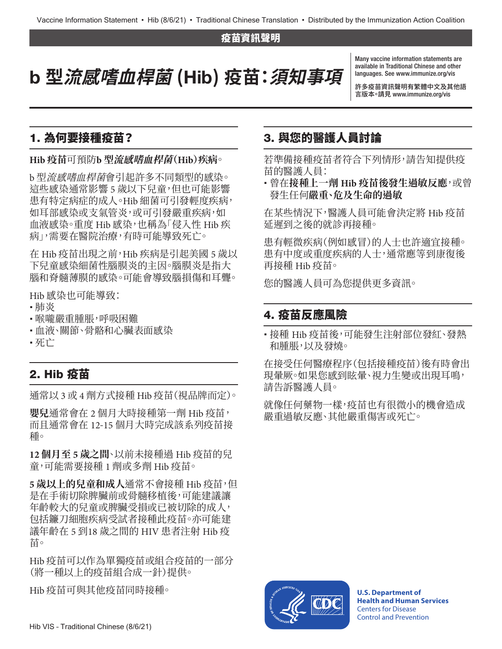#### 疫苗資訊聲明

# b **型流感嗜血桿菌 (**Hib**) 疫苗:須知事項**

Many vaccine information statements are available in Traditional Chinese and other languages. See [www.immunize.org/vis](http://www.immunize.org/vis)

許多疫苗資訊聲明有繁體中文及其他語 言版本。請見 [www.immunize.org/vis](http://www.immunize.org/vis)

### 1. 為何要接種疫苗?

#### **Hib 疫苗**可預防**b 型流感嗜血桿菌(Hib)疾病**。

b 型流感嗜血桿菌會引起許多不同類型的感染。 這些感染通常影響 5 歲以下兒童,但也可能影響 患有特定病症的成人。Hib 細菌可引發輕度疾病, 如耳部感染或支氣管炎,或可引發嚴重疾病,如 血液感染。重度 Hib 感染,也稱為「侵入性 Hib 疾 病」,需要在醫院治療,有時可能導致死亡。

在 Hib 疫苗出現之前,Hib 疾病是引起美國 5 歲以 下兒童感染細菌性腦膜炎的主因。腦膜炎是指大 腦和脊髓薄膜的感染。可能會導致腦損傷和耳聾。

Hib 感染也可能導致:

- 肺炎
- •喉嚨嚴重腫脹,呼吸困難
- 血液、關節、骨骼和心臟表面感染
- 死亡

#### 2. Hib 疫苗

通常以 3 或 4 劑方式接種 Hib 疫苗(視品牌而定)。

**嬰兒**通常會在 2 個月大時接種第一劑 Hib 疫苗, 而且通常會在 12-15 個月大時完成該系列疫苗接 種。

**12 個月至 5 歲之間**、以前未接種過 Hib 疫苗的兒 童,可能需要接種 1 劑或多劑 Hib 疫苗。

**5 歲以上的兒童和成人**通常不會接種 Hib 疫苗,但 是在手術切除脾臟前或骨髓移植後,可能建議讓 年齡較大的兒童或脾臟受損或已被切除的成人, 包括鐮刀細胞疾病受試者接種此疫苗。亦可能建 議年齡在 5 到18 歲之間的 HIV 患者注射 Hib 疫 苗。

Hib 疫苗可以作為單獨疫苗或組合疫苗的一部分 (將一種以上的疫苗組合成一針)提供。

Hib 疫苗可與其他疫苗同時接種。

### 3. 與您的醫護人員討論

若準備接種疫苗者符合下列情形,請告知提供疫 苗的醫護人員:

 曾在**接種上一劑 Hib 疫苗後發生過敏反應**,或曾 發生任何**嚴重、危及生命的過敏**

在某些情況下,醫護人員可能會決定將 Hib 疫苗 延遲到之後的就診再接種。

患有輕微疾病(例如感冒)的人士也許適宜接種。 患有中度或重度疾病的人士,通常應等到康復後 再接種 Hib 疫苗。

您的醫護人員可為您提供更多資訊。

## 4. 疫苗反應風險

 接種 Hib 疫苗後,可能發生注射部位發紅、發熱 和腫脹,以及發燒。

在接受任何醫療程序(包括接種疫苗)後有時會出 現暈厥。如果您感到眩暈、視力生變或出現耳鳴, 請告訴醫護人員。

就像任何藥物一樣,疫苗也有很微小的機會造成 嚴重過敏反應、其他嚴重傷害或死亡。



**U.S. Department of Health and Human Services**  Centers for Disease Control and Prevention